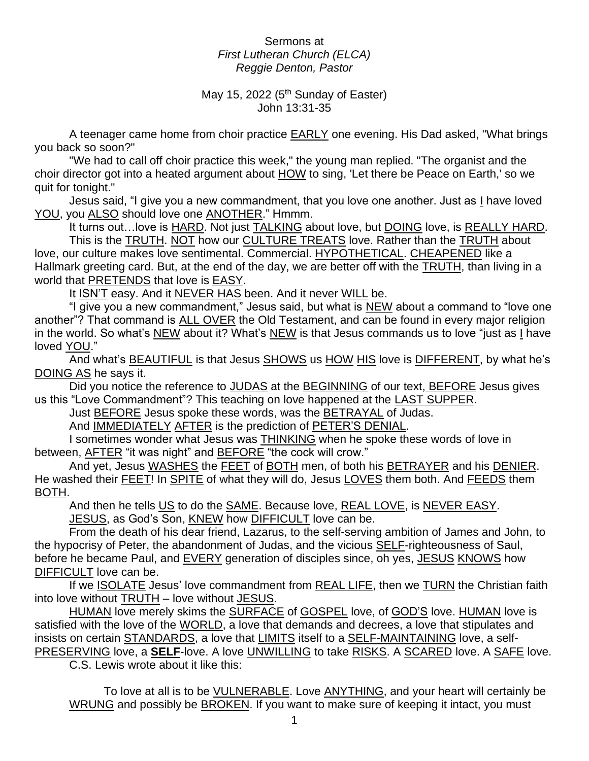## Sermons at *First Lutheran Church (ELCA) Reggie Denton, Pastor*

## May 15, 2022 (5<sup>th</sup> Sunday of Easter) John 13:31-35

A teenager came home from choir practice EARLY one evening. His Dad asked, "What brings you back so soon?"

"We had to call off choir practice this week," the young man replied. "The organist and the choir director got into a heated argument about HOW to sing, 'Let there be Peace on Earth,' so we quit for tonight."

Jesus said, "I give you a new commandment, that you love one another. Just as I have loved YOU, you ALSO should love one ANOTHER." Hmmm.

It turns out…love is HARD. Not just TALKING about love, but DOING love, is REALLY HARD.

This is the TRUTH. NOT how our CULTURE TREATS love. Rather than the TRUTH about love, our culture makes love sentimental. Commercial. HYPOTHETICAL. CHEAPENED like a Hallmark greeting card. But, at the end of the day, we are better off with the TRUTH, than living in a world that PRETENDS that love is EASY.

It ISN'T easy. And it NEVER HAS been. And it never WILL be.

"I give you a new commandment," Jesus said, but what is NEW about a command to "love one another"? That command is ALL OVER the Old Testament, and can be found in every major religion in the world. So what's NEW about it? What's NEW is that Jesus commands us to love "just as I have loved YOU."

And what's BEAUTIFUL is that Jesus SHOWS us HOW HIS love is DIFFERENT, by what he's DOING AS he says it.

Did you notice the reference to JUDAS at the BEGINNING of our text, BEFORE Jesus gives us this "Love Commandment"? This teaching on love happened at the LAST SUPPER.

Just BEFORE Jesus spoke these words, was the BETRAYAL of Judas.

And IMMEDIATELY AFTER is the prediction of PETER'S DENIAL.

I sometimes wonder what Jesus was THINKING when he spoke these words of love in between, AFTER "it was night" and BEFORE "the cock will crow."

And yet, Jesus WASHES the FEET of BOTH men, of both his BETRAYER and his DENIER. He washed their FEET! In SPITE of what they will do, Jesus LOVES them both. And FEEDS them BOTH.

And then he tells US to do the SAME. Because love, REAL LOVE, is NEVER EASY. JESUS, as God's Son, KNEW how DIFFICULT love can be.

From the death of his dear friend, Lazarus, to the self-serving ambition of James and John, to the hypocrisy of Peter, the abandonment of Judas, and the vicious SELF-righteousness of Saul, before he became Paul, and EVERY generation of disciples since, oh yes, JESUS KNOWS how DIFFICULT love can be.

If we **ISOLATE** Jesus' love commandment from REAL LIFE, then we TURN the Christian faith into love without TRUTH – love without JESUS.

HUMAN love merely skims the SURFACE of GOSPEL love, of GOD'S love. HUMAN love is satisfied with the love of the WORLD, a love that demands and decrees, a love that stipulates and insists on certain **STANDARDS**, a love that **LIMITS** itself to a **SELF-MAINTAINING** love, a self-PRESERVING love, a **SELF**-love. A love UNWILLING to take RISKS. A SCARED love. A SAFE love.

C.S. Lewis wrote about it like this:

To love at all is to be VULNERABLE. Love ANYTHING, and your heart will certainly be WRUNG and possibly be **BROKEN**. If you want to make sure of keeping it intact, you must